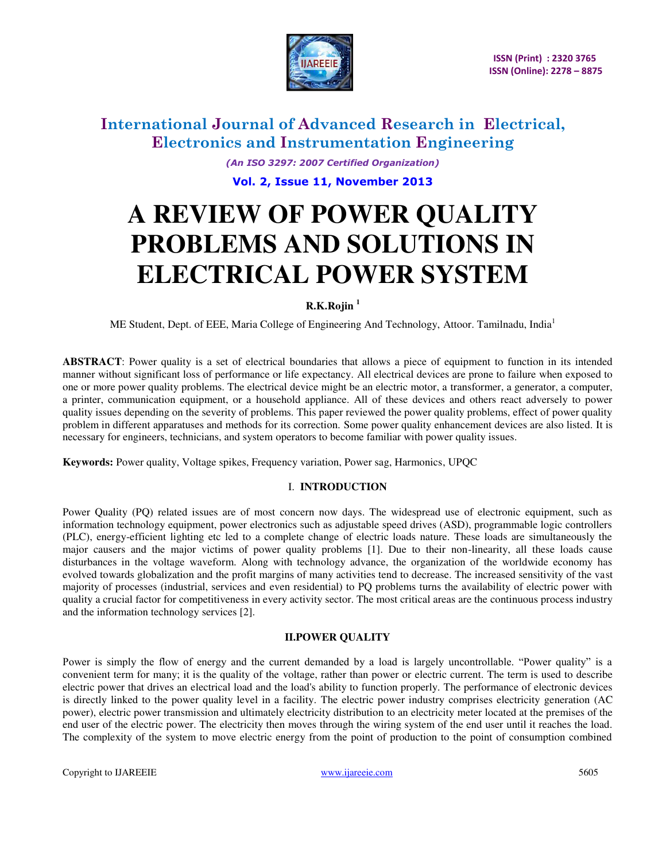

*(An ISO 3297: 2007 Certified Organization)*  **Vol. 2, Issue 11, November 2013**

# **A REVIEW OF POWER QUALITY PROBLEMS AND SOLUTIONS IN ELECTRICAL POWER SYSTEM**

# **R.K.Rojin <sup>1</sup>**

ME Student, Dept. of EEE, Maria College of Engineering And Technology, Attoor. Tamilnadu, India<sup>1</sup>

**ABSTRACT**: Power quality is a set of electrical boundaries that allows a piece of equipment to function in its intended manner without significant loss of performance or life expectancy. All electrical devices are prone to failure when exposed to one or more power quality problems. The electrical device might be an electric motor, a transformer, a generator, a computer, a printer, communication equipment, or a household appliance. All of these devices and others react adversely to power quality issues depending on the severity of problems. This paper reviewed the power quality problems, effect of power quality problem in different apparatuses and methods for its correction. Some power quality enhancement devices are also listed. It is necessary for engineers, technicians, and system operators to become familiar with power quality issues.

**Keywords:** Power quality, Voltage spikes, Frequency variation, Power sag, Harmonics, UPQC

# I. **INTRODUCTION**

Power Quality (PQ) related issues are of most concern now days. The widespread use of electronic equipment, such as information technology equipment, power electronics such as adjustable speed drives (ASD), programmable logic controllers (PLC), energy-efficient lighting etc led to a complete change of electric loads nature. These loads are simultaneously the major causers and the major victims of power quality problems [1]. Due to their non-linearity, all these loads cause disturbances in the voltage waveform. Along with technology advance, the organization of the worldwide economy has evolved towards globalization and the profit margins of many activities tend to decrease. The increased sensitivity of the vast majority of processes (industrial, services and even residential) to PQ problems turns the availability of electric power with quality a crucial factor for competitiveness in every activity sector. The most critical areas are the continuous process industry and the information technology services [2].

# **II.POWER QUALITY**

Power is simply the flow of energy and the current demanded by a load is largely uncontrollable. "Power quality" is a convenient term for many; it is the quality of the [voltage,](http://en.wikipedia.org/wiki/Voltage) rather than power or [electric current.](http://en.wikipedia.org/wiki/Electric_current) The term is used to describe electric power that drives an [electrical load](http://en.wikipedia.org/wiki/Electrical_load) and the load's ability to function properly. The performance of electronic devices is directly linked to the power quality level in a facility. The [electric power industry](http://en.wikipedia.org/wiki/Electric_power_industry) comprises [electricity generation](http://en.wikipedia.org/wiki/Electricity_generation) [\(AC](http://en.wikipedia.org/wiki/AC_power)  [power\)](http://en.wikipedia.org/wiki/AC_power), [electric power transmission a](http://en.wikipedia.org/wiki/Electric_power_transmission)nd ultimately [electricity distribution](http://en.wikipedia.org/wiki/Electricity_distribution) to an [electricity meter](http://en.wikipedia.org/wiki/Electricity_meter) located at the premises of the end user of the electric power. The [electricity](http://en.wikipedia.org/wiki/Electricity) then moves through the wiring system of the end user until it reaches the load. The complexity of the system to move electric energy from the point of production to the point of consumption combined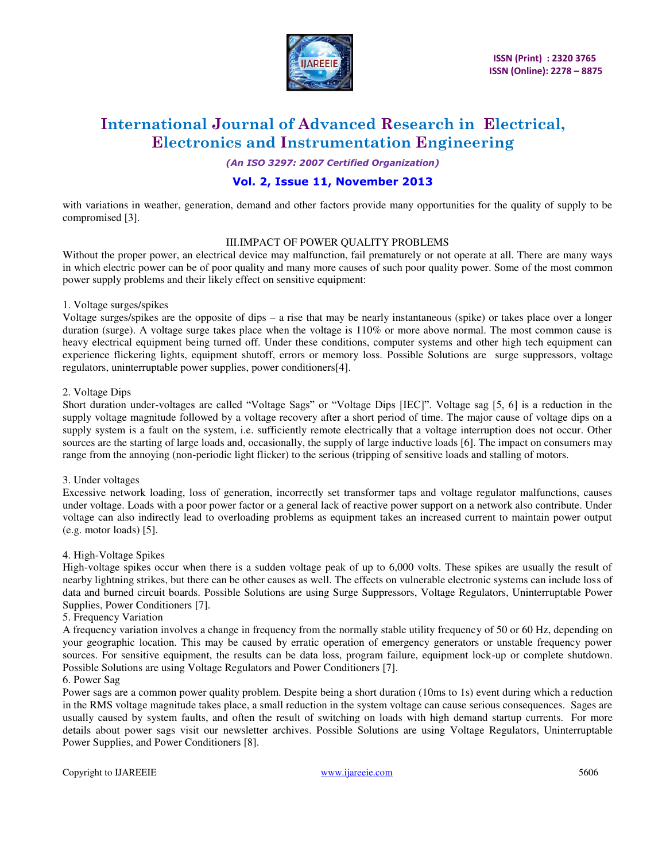

*(An ISO 3297: 2007 Certified Organization)* 

# **Vol. 2, Issue 11, November 2013**

with variations in weather, generation, demand and other factors provide many opportunities for the quality of supply to be compromised [3].

# III.IMPACT OF POWER QUALITY PROBLEMS

Without the proper power, an electrical device may malfunction, fail prematurely or not operate at all. There are many ways in which electric power can be of poor quality and many more causes of such poor quality power. Some of the most common power supply problems and their likely effect on sensitive equipment:

# 1. Voltage surges/spikes

Voltage surges/spikes are the opposite of dips – a rise that may be nearly instantaneous (spike) or takes place over a longer duration (surge). A voltage surge takes place when the voltage is 110% or more above normal. The most common cause is heavy electrical equipment being turned off. Under these conditions, computer systems and other high tech equipment can experience flickering lights, equipment shutoff, errors or memory loss. Possible Solutions are [surge suppressors,](http://www.power-solutions.com/power-quality/surge-suppressors.php) [voltage](http://www.power-solutions.com/power-quality/voltage-regulators.php)  [regulators,](http://www.power-solutions.com/power-quality/voltage-regulators.php) [uninterruptable power supplies,](http://www.power-solutions.com/power-quality/ups.php) [power conditioners\[](http://www.power-solutions.com/power-quality/power-conditioners.php)4].

# 2. Voltage Dips

Short duration under-voltages are called "Voltage Sags" or "Voltage Dips [IEC]". Voltage sag [5, 6] is a reduction in the supply voltage magnitude followed by a voltage recovery after a short period of time. The major cause of voltage dips on a supply system is a fault on the system, i.e. sufficiently remote electrically that a voltage interruption does not occur. Other sources are the starting of large loads and, occasionally, the supply of large inductive loads [6]. The impact on consumers may range from the annoying (non-periodic light flicker) to the serious (tripping of sensitive loads and stalling of motors.

### 3. Under voltages

Excessive network loading, loss of generation, incorrectly set transformer taps and voltage regulator malfunctions, causes under voltage. Loads with a poor power factor or a general lack of reactive power support on a network also contribute. Under voltage can also indirectly lead to overloading problems as equipment takes an increased current to maintain power output (e.g. motor loads) [5].

### 4. High-Voltage Spikes

High-voltage spikes occur when there is a sudden voltage peak of up to 6,000 volts. These spikes are usually the result of nearby lightning strikes, but there can be other causes as well. The effects on vulnerable electronic systems can include loss of data and burned circuit boards. Possible Solutions are using [Surge Suppressors,](http://www.power-solutions.com/power-quality/surge-suppressors.php) [Voltage Regulators,](http://www.power-solutions.com/power-quality/voltage-regulators.php) [Uninterruptable Power](http://www.power-solutions.com/power-quality/ups.php)  [Supplies,](http://www.power-solutions.com/power-quality/ups.php) [Power Conditioners](http://www.power-solutions.com/power-quality/power-conditioners.php) [7].

### 5. Frequency Variation

A frequency variation involves a change in frequency from the normally stable utility frequency of 50 or 60 Hz, depending on your geographic location. This may be caused by erratic operation of emergency generators or unstable frequency power sources. For sensitive equipment, the results can be data loss, program failure, equipment lock-up or complete shutdown. Possible Solutions are usin[g Voltage Regulators](http://www.power-solutions.com/power-quality/voltage-regulators.php) and [Power Conditioners](http://www.power-solutions.com/power-quality/power-conditioners.php) [7].

### 6. Power Sag

Power sags are a common power quality problem. Despite being a short duration (10ms to 1s) event during which a reduction in the RMS voltage magnitude takes place, a small reduction in the system voltage can cause serious consequences. Sages are usually caused by system faults, and often the result of switching on loads with high demand startup currents. For more details about power sags visit our [newsletter archives.](http://www.power-solutions.com/pressroom/newsletter.php) Possible Solutions are using [Voltage Regulators,](http://www.power-solutions.com/power-quality/voltage-regulators.php) [Uninterruptable](http://www.power-solutions.com/power-quality/ups.php)  [Power Supplies,](http://www.power-solutions.com/power-quality/ups.php) [and Power Conditioners](http://www.power-solutions.com/power-quality/power-conditioners.php) [8].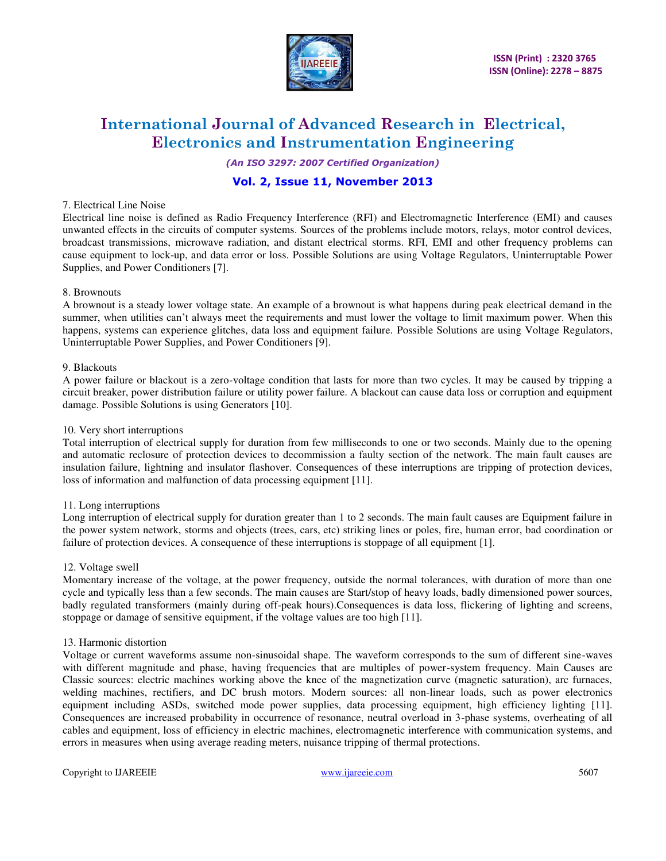

*(An ISO 3297: 2007 Certified Organization)* 

# **Vol. 2, Issue 11, November 2013**

### 7. Electrical Line Noise

Electrical line noise is defined as Radio Frequency Interference (RFI) and Electromagnetic Interference (EMI) and causes unwanted effects in the circuits of computer systems. Sources of the problems include motors, relays, motor control devices, broadcast transmissions, microwave radiation, and distant electrical storms. RFI, EMI and other frequency problems can cause equipment to lock-up, and data error or loss. Possible Solutions are using [Voltage Regulators,](http://www.power-solutions.com/power-quality/voltage-regulators.php) [Uninterruptable Power](http://www.power-solutions.com/power-quality/ups.php)  [Supplies,](http://www.power-solutions.com/power-quality/ups.php) [and Power Conditioners](http://www.power-solutions.com/power-quality/power-conditioners.php) [7].

# 8. Brownouts

A brownout is a steady lower voltage state. An example of a brownout is what happens during peak electrical demand in the summer, when utilities can't always meet the requirements and must lower the voltage to limit maximum power. When this happens, systems can experience glitches, data loss and equipment failure. Possible Solutions are using [Voltage Regulators,](http://www.power-solutions.com/power-quality/voltage-regulators.php) [Uninterruptable Power Supplies,](http://www.power-solutions.com/power-quality/ups.php) [and Power Conditioners](http://www.power-solutions.com/power-quality/power-conditioners.php) [9].

# 9. Blackouts

A power failure or blackout is a zero-voltage condition that lasts for more than two cycles. It may be caused by tripping a circuit breaker, power distribution failure or utility power failure. A blackout can cause data loss or corruption and equipment damage. Possible Solutions is using [Generators](http://www.power-solutions.com/power-quality/generators.php) [10].

### 10. Very short interruptions

Total interruption of electrical supply for duration from few milliseconds to one or two seconds. Mainly due to the opening and automatic reclosure of protection devices to decommission a faulty section of the network. The main fault causes are insulation failure, lightning and insulator flashover. Consequences of these interruptions are tripping of protection devices, loss of information and malfunction of data processing equipment [11].

# 11. Long interruptions

Long interruption of electrical supply for duration greater than 1 to 2 seconds. The main fault causes are Equipment failure in the power system network, storms and objects (trees, cars, etc) striking lines or poles, fire, human error, bad coordination or failure of protection devices. A consequence of these interruptions is stoppage of all equipment [1].

### 12. Voltage swell

Momentary increase of the voltage, at the power frequency, outside the normal tolerances, with duration of more than one cycle and typically less than a few seconds. The main causes are Start/stop of heavy loads, badly dimensioned power sources, badly regulated transformers (mainly during off-peak hours).Consequences is data loss, flickering of lighting and screens, stoppage or damage of sensitive equipment, if the voltage values are too high [11].

### 13. Harmonic distortion

Voltage or current waveforms assume non-sinusoidal shape. The waveform corresponds to the sum of different sine-waves with different magnitude and phase, having frequencies that are multiples of power-system frequency. Main Causes are Classic sources: electric machines working above the knee of the magnetization curve (magnetic saturation), arc furnaces, welding machines, rectifiers, and DC brush motors. Modern sources: all non-linear loads, such as power electronics equipment including ASDs, switched mode power supplies, data processing equipment, high efficiency lighting [11]. Consequences are increased probability in occurrence of resonance, neutral overload in 3-phase systems, overheating of all cables and equipment, loss of efficiency in electric machines, electromagnetic interference with communication systems, and errors in measures when using average reading meters, nuisance tripping of thermal protections.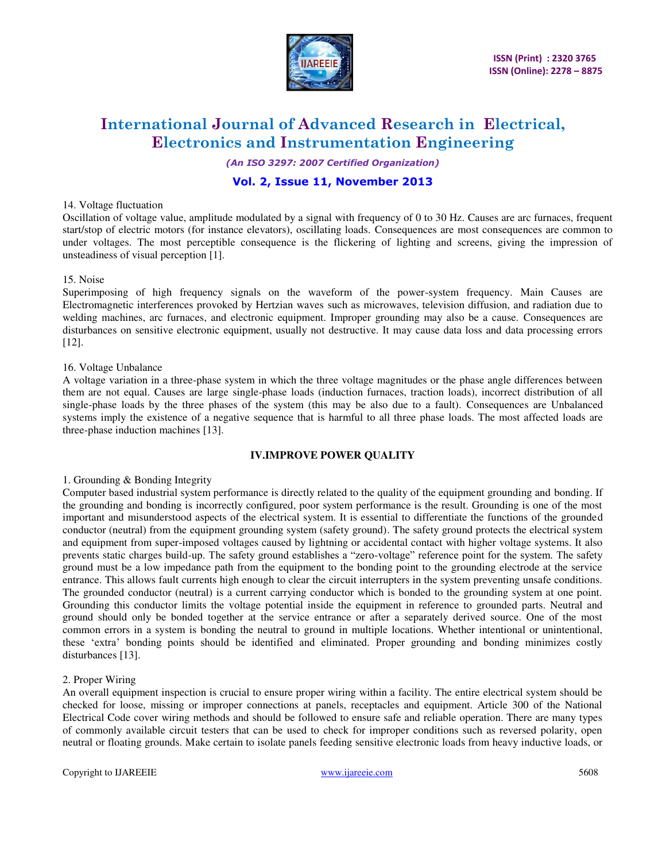

*(An ISO 3297: 2007 Certified Organization)* 

# **Vol. 2, Issue 11, November 2013**

### 14. Voltage fluctuation

Oscillation of voltage value, amplitude modulated by a signal with frequency of 0 to 30 Hz. Causes are arc furnaces, frequent start/stop of electric motors (for instance elevators), oscillating loads. Consequences are most consequences are common to under voltages. The most perceptible consequence is the flickering of lighting and screens, giving the impression of unsteadiness of visual perception [1].

# 15. Noise

Superimposing of high frequency signals on the waveform of the power-system frequency. Main Causes are Electromagnetic interferences provoked by Hertzian waves such as microwaves, television diffusion, and radiation due to welding machines, arc furnaces, and electronic equipment. Improper grounding may also be a cause. Consequences are disturbances on sensitive electronic equipment, usually not destructive. It may cause data loss and data processing errors [12].

# 16. Voltage Unbalance

A voltage variation in a three-phase system in which the three voltage magnitudes or the phase angle differences between them are not equal. Causes are large single-phase loads (induction furnaces, traction loads), incorrect distribution of all single-phase loads by the three phases of the system (this may be also due to a fault). Consequences are Unbalanced systems imply the existence of a negative sequence that is harmful to all three phase loads. The most affected loads are three-phase induction machines [13].

### **IV.IMPROVE POWER QUALITY**

### 1. Grounding & Bonding Integrity

Computer based industrial system performance is directly related to the quality of the equipment grounding and bonding. If the grounding and bonding is incorrectly configured, poor system performance is the result. Grounding is one of the most important and misunderstood aspects of the electrical system. It is essential to differentiate the functions of the grounded conductor (neutral) from the equipment grounding system (safety ground). The safety ground protects the electrical system and equipment from super-imposed voltages caused by lightning or accidental contact with higher voltage systems. It also prevents static charges build-up. The safety ground establishes a "zero-voltage" reference point for the system. The safety ground must be a low impedance path from the equipment to the bonding point to the grounding electrode at the service entrance. This allows fault currents high enough to clear the circuit interrupters in the system preventing unsafe conditions. The grounded conductor (neutral) is a current carrying conductor which is bonded to the grounding system at one point. Grounding this conductor limits the voltage potential inside the equipment in reference to grounded parts. Neutral and ground should only be bonded together at the service entrance or after a separately derived source. One of the most common errors in a system is bonding the neutral to ground in multiple locations. Whether intentional or unintentional, these 'extra' bonding points should be identified and eliminated. Proper grounding and bonding minimizes costly disturbances [13].

### 2. Proper Wiring

An overall equipment inspection is crucial to ensure proper wiring within a facility. The entire electrical system should be checked for loose, missing or improper connections at panels, receptacles and equipment. Article 300 of the National Electrical Code cover wiring methods and should be followed to ensure safe and reliable operation. There are many types of commonly available circuit testers that can be used to check for improper conditions such as reversed polarity, open neutral or floating grounds. Make certain to isolate panels feeding sensitive electronic loads from heavy inductive loads, or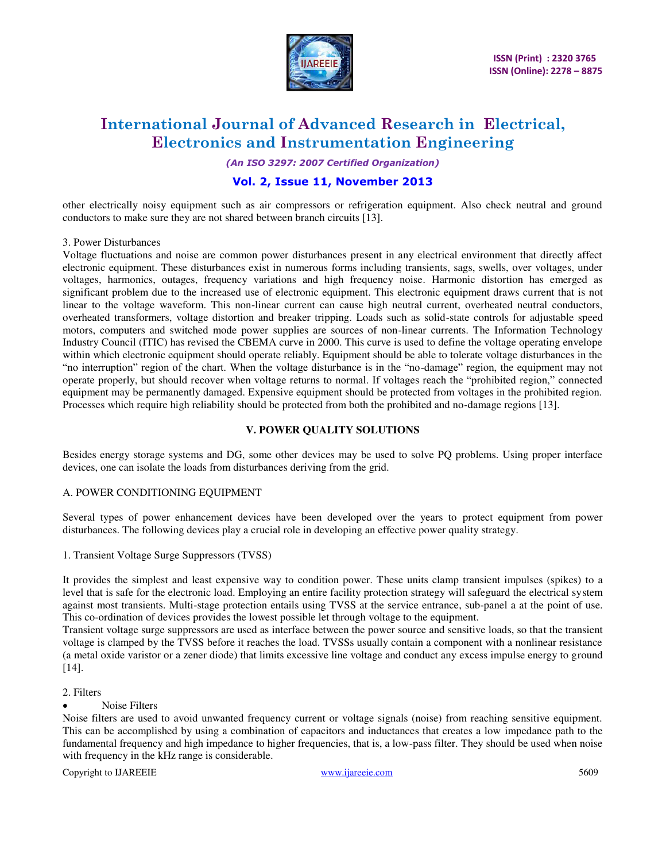

**ISSN (Print) : 2320 3765 ISSN (Online): 2278 – 8875** 

# **International Journal of Advanced Research in Electrical, Electronics and Instrumentation Engineering**

*(An ISO 3297: 2007 Certified Organization)* 

# **Vol. 2, Issue 11, November 2013**

other electrically noisy equipment such as air compressors or refrigeration equipment. Also check neutral and ground conductors to make sure they are not shared between branch circuits [13].

# 3. Power Disturbances

Voltage fluctuations and noise are common power disturbances present in any electrical environment that directly affect electronic equipment. These disturbances exist in numerous forms including transients, sags, swells, over voltages, under voltages, harmonics, outages, frequency variations and high frequency noise. Harmonic distortion has emerged as significant problem due to the increased use of electronic equipment. This electronic equipment draws current that is not linear to the voltage waveform. This non-linear current can cause high neutral current, overheated neutral conductors, overheated transformers, voltage distortion and breaker tripping. Loads such as solid-state controls for adjustable speed motors, computers and switched mode power supplies are sources of non-linear currents. The Information Technology Industry Council (ITIC) has revised the CBEMA curve in 2000. This curve is used to define the voltage operating envelope within which electronic equipment should operate reliably. Equipment should be able to tolerate voltage disturbances in the "no interruption" region of the chart. When the voltage disturbance is in the "no-damage" region, the equipment may not operate properly, but should recover when voltage returns to normal. If voltages reach the "prohibited region," connected equipment may be permanently damaged. Expensive equipment should be protected from voltages in the prohibited region. Processes which require high reliability should be protected from both the prohibited and no-damage regions [13].

# **V. [POWER QUALITY SOLUTIONS](http://www.power-solutions.com/power-quality/power-solutions)**

Besides energy storage systems and DG, some other devices may be used to solve PQ problems. Using proper interface devices, one can isolate the loads from disturbances deriving from the grid.

# A. POWER CONDITIONING EQUIPMENT

Several types of power enhancement devices have been developed over the years to protect equipment from power disturbances. The following devices play a crucial role in developing an effective power quality strategy.

1. Transient Voltage Surge Suppressors (TVSS)

It provides the simplest and least expensive way to condition power. These units clamp transient impulses (spikes) to a level that is safe for the electronic load. Employing an entire facility protection strategy will safeguard the electrical system against most transients. Multi-stage protection entails using TVSS at the service entrance, sub-panel a at the point of use. This co-ordination of devices provides the lowest possible let through voltage to the equipment.

Transient voltage surge suppressors are used as interface between the power source and sensitive loads, so that the transient voltage is clamped by the TVSS before it reaches the load. TVSSs usually contain a component with a nonlinear resistance (a metal oxide varistor or a zener diode) that limits excessive line voltage and conduct any excess impulse energy to ground [14].

# 2. Filters

Noise Filters

Noise filters are used to avoid unwanted frequency current or voltage signals (noise) from reaching sensitive equipment. This can be accomplished by using a combination of capacitors and inductances that creates a low impedance path to the fundamental frequency and high impedance to higher frequencies, that is, a low-pass filter. They should be used when noise with frequency in the kHz range is considerable.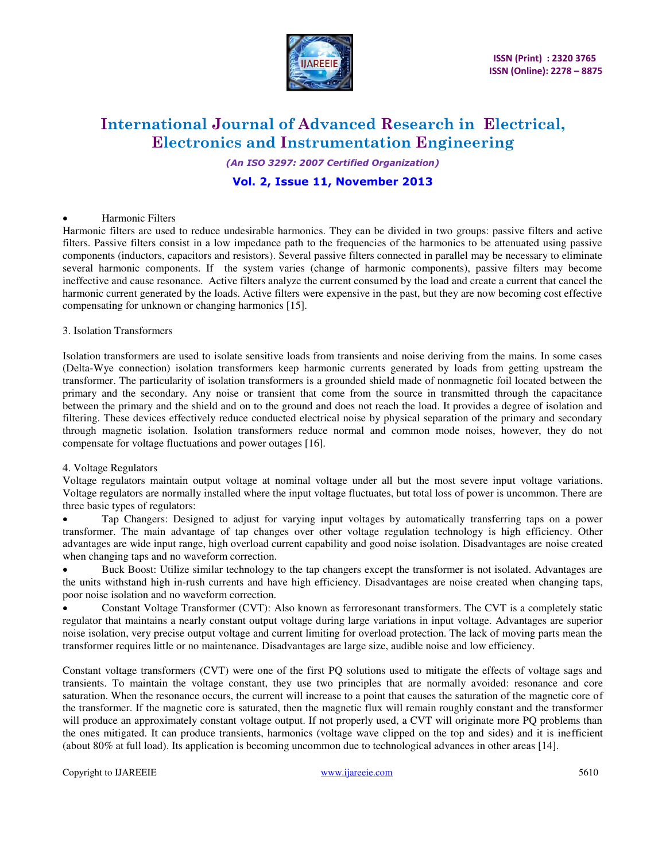

*(An ISO 3297: 2007 Certified Organization)* 

# **Vol. 2, Issue 11, November 2013**

# Harmonic Filters

Harmonic filters are used to reduce undesirable harmonics. They can be divided in two groups: passive filters and active filters. Passive filters consist in a low impedance path to the frequencies of the harmonics to be attenuated using passive components (inductors, capacitors and resistors). Several passive filters connected in parallel may be necessary to eliminate several harmonic components. If the system varies (change of harmonic components), passive filters may become ineffective and cause resonance. Active filters analyze the current consumed by the load and create a current that cancel the harmonic current generated by the loads. Active filters were expensive in the past, but they are now becoming cost effective compensating for unknown or changing harmonics [15].

### 3. Isolation Transformers

Isolation transformers are used to isolate sensitive loads from transients and noise deriving from the mains. In some cases (Delta-Wye connection) isolation transformers keep harmonic currents generated by loads from getting upstream the transformer. The particularity of isolation transformers is a grounded shield made of nonmagnetic foil located between the primary and the secondary. Any noise or transient that come from the source in transmitted through the capacitance between the primary and the shield and on to the ground and does not reach the load. It provides a degree of isolation and filtering. These devices effectively reduce conducted electrical noise by physical separation of the primary and secondary through magnetic isolation. Isolation transformers reduce normal and common mode noises, however, they do not compensate for voltage fluctuations and power outages [16].

# 4. Voltage Regulators

Voltage regulators maintain output voltage at nominal voltage under all but the most severe input voltage variations. Voltage regulators are normally installed where the input voltage fluctuates, but total loss of power is uncommon. There are three basic types of regulators:

 Tap Changers: Designed to adjust for varying input voltages by automatically transferring taps on a power transformer. The main advantage of tap changes over other voltage regulation technology is high efficiency. Other advantages are wide input range, high overload current capability and good noise isolation. Disadvantages are noise created when changing taps and no waveform correction.

 Buck Boost: Utilize similar technology to the tap changers except the transformer is not isolated. Advantages are the units withstand high in-rush currents and have high efficiency. Disadvantages are noise created when changing taps, poor noise isolation and no waveform correction.

 Constant Voltage Transformer (CVT): Also known as ferroresonant transformers. The CVT is a completely static regulator that maintains a nearly constant output voltage during large variations in input voltage. Advantages are superior noise isolation, very precise output voltage and current limiting for overload protection. The lack of moving parts mean the transformer requires little or no maintenance. Disadvantages are large size, audible noise and low efficiency.

Constant voltage transformers (CVT) were one of the first PQ solutions used to mitigate the effects of voltage sags and transients. To maintain the voltage constant, they use two principles that are normally avoided: resonance and core saturation. When the resonance occurs, the current will increase to a point that causes the saturation of the magnetic core of the transformer. If the magnetic core is saturated, then the magnetic flux will remain roughly constant and the transformer will produce an approximately constant voltage output. If not properly used, a CVT will originate more PQ problems than the ones mitigated. It can produce transients, harmonics (voltage wave clipped on the top and sides) and it is inefficient (about 80% at full load). Its application is becoming uncommon due to technological advances in other areas [14].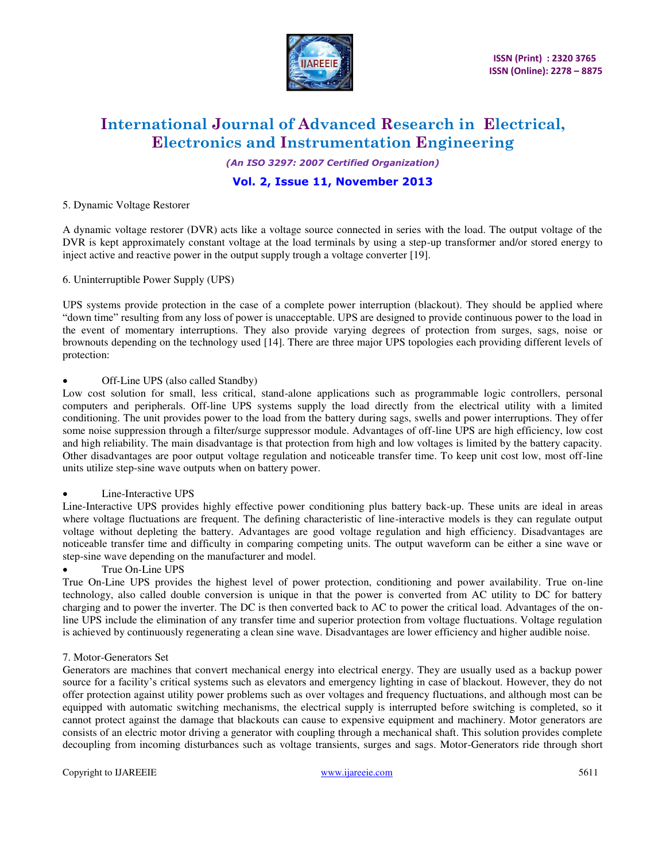

*(An ISO 3297: 2007 Certified Organization)* 

# **Vol. 2, Issue 11, November 2013**

### 5. Dynamic Voltage Restorer

A dynamic voltage restorer (DVR) acts like a voltage source connected in series with the load. The output voltage of the DVR is kept approximately constant voltage at the load terminals by using a step-up transformer and/or stored energy to inject active and reactive power in the output supply trough a voltage converter [19].

6. Uninterruptible Power Supply (UPS)

UPS systems provide protection in the case of a complete power interruption (blackout). They should be applied where "down time" resulting from any loss of power is unacceptable. UPS are designed to provide continuous power to the load in the event of momentary interruptions. They also provide varying degrees of protection from surges, sags, noise or brownouts depending on the technology used [14]. There are three major UPS topologies each providing different levels of protection:

# • Off-Line UPS (also called Standby)

Low cost solution for small, less critical, stand-alone applications such as programmable logic controllers, personal computers and peripherals. Off-line UPS systems supply the load directly from the electrical utility with a limited conditioning. The unit provides power to the load from the battery during sags, swells and power interruptions. They offer some noise suppression through a filter/surge suppressor module. Advantages of off-line UPS are high efficiency, low cost and high reliability. The main disadvantage is that protection from high and low voltages is limited by the battery capacity. Other disadvantages are poor output voltage regulation and noticeable transfer time. To keep unit cost low, most off-line units utilize step-sine wave outputs when on battery power.

### • Line-Interactive UPS

Line-Interactive UPS provides highly effective power conditioning plus battery back-up. These units are ideal in areas where voltage fluctuations are frequent. The defining characteristic of line-interactive models is they can regulate output voltage without depleting the battery. Advantages are good voltage regulation and high efficiency. Disadvantages are noticeable transfer time and difficulty in comparing competing units. The output waveform can be either a sine wave or step-sine wave depending on the manufacturer and model.

• True On-Line UPS

True On-Line UPS provides the highest level of power protection, conditioning and power availability. True on-line technology, also called double conversion is unique in that the power is converted from AC utility to DC for battery charging and to power the inverter. The DC is then converted back to AC to power the critical load. Advantages of the online UPS include the elimination of any transfer time and superior protection from voltage fluctuations. Voltage regulation is achieved by continuously regenerating a clean sine wave. Disadvantages are lower efficiency and higher audible noise.

# 7. Motor-Generators Set

Generators are machines that convert mechanical energy into electrical energy. They are usually used as a backup power source for a facility's critical systems such as elevators and emergency lighting in case of blackout. However, they do not offer protection against utility power problems such as over voltages and frequency fluctuations, and although most can be equipped with automatic switching mechanisms, the electrical supply is interrupted before switching is completed, so it cannot protect against the damage that blackouts can cause to expensive equipment and machinery. Motor generators are consists of an electric motor driving a generator with coupling through a mechanical shaft. This solution provides complete decoupling from incoming disturbances such as voltage transients, surges and sags. Motor-Generators ride through short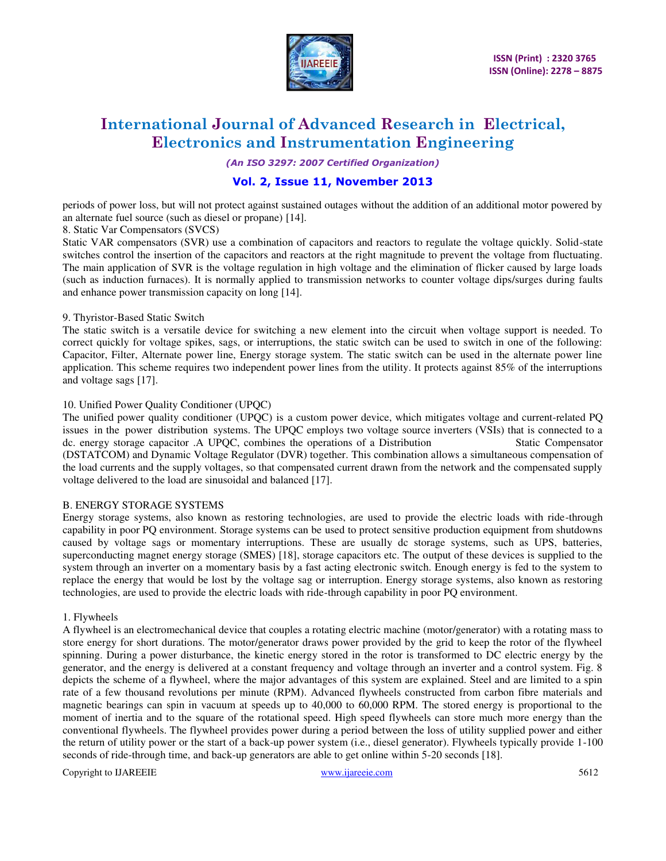

*(An ISO 3297: 2007 Certified Organization)* 

# **Vol. 2, Issue 11, November 2013**

periods of power loss, but will not protect against sustained outages without the addition of an additional motor powered by an alternate fuel source (such as diesel or propane) [14].

8. Static Var Compensators (SVCS)

Static VAR compensators (SVR) use a combination of capacitors and reactors to regulate the voltage quickly. Solid-state switches control the insertion of the capacitors and reactors at the right magnitude to prevent the voltage from fluctuating. The main application of SVR is the voltage regulation in high voltage and the elimination of flicker caused by large loads (such as induction furnaces). It is normally applied to transmission networks to counter voltage dips/surges during faults and enhance power transmission capacity on long [14].

# 9. Thyristor-Based Static Switch

The static switch is a versatile device for switching a new element into the circuit when voltage support is needed. To correct quickly for voltage spikes, sags, or interruptions, the static switch can be used to switch in one of the following: Capacitor, Filter, Alternate power line, Energy storage system. The static switch can be used in the alternate power line application. This scheme requires two independent power lines from the utility. It protects against 85% of the interruptions and voltage sags [17].

# 10. Unified Power Quality Conditioner (UPQC)

The unified power quality conditioner (UPQC) is a custom power device, which mitigates voltage and current-related PQ issues in the power distribution systems. The UPQC employs two voltage source inverters (VSIs) that is connected to a dc. energy storage capacitor .A UPQC, combines the operations of a Distribution Static Compensator (DSTATCOM) and Dynamic Voltage Regulator (DVR) together. This combination allows a simultaneous compensation of the load currents and the supply voltages, so that compensated current drawn from the network and the compensated supply voltage delivered to the load are sinusoidal and balanced [17].

# B. ENERGY STORAGE SYSTEMS

Energy storage systems, also known as restoring technologies, are used to provide the electric loads with ride-through capability in poor PQ environment. Storage systems can be used to protect sensitive production equipment from shutdowns caused by voltage sags or momentary interruptions. These are usually dc storage systems, such as UPS, batteries, superconducting magnet energy storage (SMES) [18], storage capacitors etc. The output of these devices is supplied to the system through an inverter on a momentary basis by a fast acting electronic switch. Enough energy is fed to the system to replace the energy that would be lost by the voltage sag or interruption. Energy storage systems, also known as restoring technologies, are used to provide the electric loads with ride-through capability in poor PQ environment.

### 1. Flywheels

A flywheel is an electromechanical device that couples a rotating electric machine (motor/generator) with a rotating mass to store energy for short durations. The motor/generator draws power provided by the grid to keep the rotor of the flywheel spinning. During a power disturbance, the kinetic energy stored in the rotor is transformed to DC electric energy by the generator, and the energy is delivered at a constant frequency and voltage through an inverter and a control system. Fig. 8 depicts the scheme of a flywheel, where the major advantages of this system are explained. Steel and are limited to a spin rate of a few thousand revolutions per minute (RPM). Advanced flywheels constructed from carbon fibre materials and magnetic bearings can spin in vacuum at speeds up to 40,000 to 60,000 RPM. The stored energy is proportional to the moment of inertia and to the square of the rotational speed. High speed flywheels can store much more energy than the conventional flywheels. The flywheel provides power during a period between the loss of utility supplied power and either the return of utility power or the start of a back-up power system (i.e., diesel generator). Flywheels typically provide 1-100 seconds of ride-through time, and back-up generators are able to get online within 5-20 seconds [18].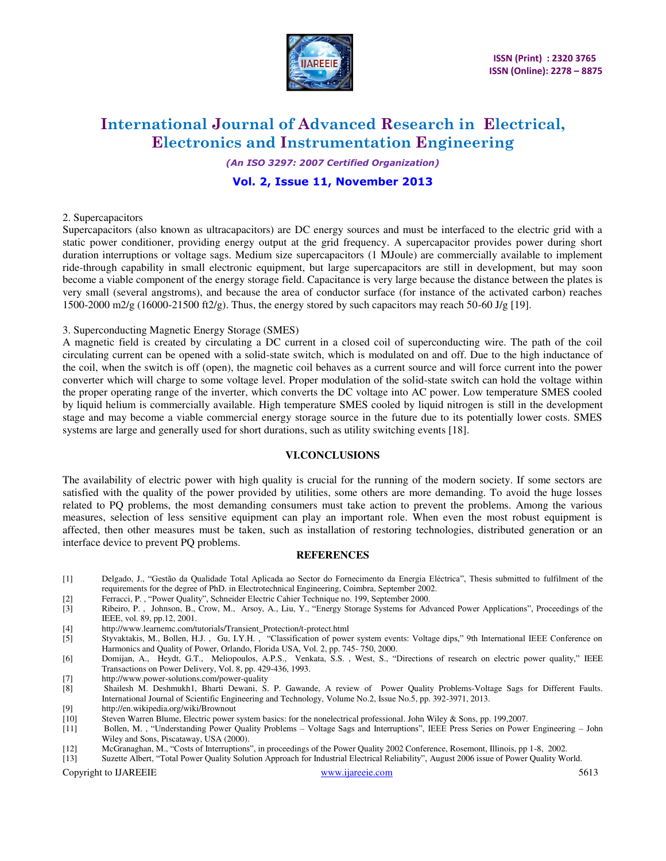

*(An ISO 3297: 2007 Certified Organization)* 

# **Vol. 2, Issue 11, November 2013**

# 2. Supercapacitors

Supercapacitors (also known as ultracapacitors) are DC energy sources and must be interfaced to the electric grid with a static power conditioner, providing energy output at the grid frequency. A supercapacitor provides power during short duration interruptions or voltage sags. Medium size supercapacitors (1 MJoule) are commercially available to implement ride-through capability in small electronic equipment, but large supercapacitors are still in development, but may soon become a viable component of the energy storage field. Capacitance is very large because the distance between the plates is very small (several angstroms), and because the area of conductor surface (for instance of the activated carbon) reaches 1500-2000 m2/g (16000-21500 ft2/g). Thus, the energy stored by such capacitors may reach 50-60 J/g [19].

### 3. Superconducting Magnetic Energy Storage (SMES)

A magnetic field is created by circulating a DC current in a closed coil of superconducting wire. The path of the coil circulating current can be opened with a solid-state switch, which is modulated on and off. Due to the high inductance of the coil, when the switch is off (open), the magnetic coil behaves as a current source and will force current into the power converter which will charge to some voltage level. Proper modulation of the solid-state switch can hold the voltage within the proper operating range of the inverter, which converts the DC voltage into AC power. Low temperature SMES cooled by liquid helium is commercially available. High temperature SMES cooled by liquid nitrogen is still in the development stage and may become a viable commercial energy storage source in the future due to its potentially lower costs. SMES systems are large and generally used for short durations, such as utility switching events [18].

# **VI.CONCLUSIONS**

The availability of electric power with high quality is crucial for the running of the modern society. If some sectors are satisfied with the quality of the power provided by utilities, some others are more demanding. To avoid the huge losses related to PQ problems, the most demanding consumers must take action to prevent the problems. Among the various measures, selection of less sensitive equipment can play an important role. When even the most robust equipment is affected, then other measures must be taken, such as installation of restoring technologies, distributed generation or an interface device to prevent PQ problems.

# **REFERENCES**

- [1] Delgado, J., "Gestão da Qualidade Total Aplicada ao Sector do Fornecimento da Energia Eléctrica", Thesis submitted to fulfilment of the requirements for the degree of PhD. in Electrotechnical Engineering, Coimbra, September 2002.
- 
- [2] Ferracci, P. , "Power Quality", Schneider Electric Cahier Technique no. 199, September 2000. [3] Ribeiro, P. , Johnson, B., Crow, M., Arsoy, A., Liu, Y., "Energy Storage Systems for Advanced Power Applications", Proceedings of the IEEE, vol. 89, pp.12, 2001.
- [4] [http://www.learnemc.com/tutorials/Transient\\_Protection/t-protect.html](http://www.learnemc.com/tutorials/Transient_Protection/t-protect.html)
- [5] Styvaktakis, M., Bollen, H.J. , Gu, I.Y.H. , "Classification of power system events: Voltage dips," 9th International IEEE Conference on Harmonics and Quality of Power, Orlando, Florida USA, Vol. 2, pp. 745- 750, 2000.
- [6] Domijan, A., Heydt, G.T., Meliopoulos, A.P.S., Venkata, S.S. , West, S., "Directions of research on electric power quality," IEEE Transactions on Power Delivery, Vol. 8, pp. 429-436, 1993.
- [7] http://www.power-solutions.com/power-quality<br>[8] Shailesh M. Deshmukh1, Bharti Dewani, S.
- [8] Shailesh M. Deshmukh1, Bharti Dewani, S. P. Gawande, A review of Power Quality Problems-Voltage Sags for Different Faults. International Journal of Scientific Engineering and Technology, Volume No.2, Issue No.5, pp. 392-3971, 2013.
- [9] http://en.wikipedia.org/wiki/Brownout
- [10] Steven Warren Blume, Electric power system basics: for the nonelectrical professional. John Wiley & Sons, pp. 199,2007.
- [11] Bollen, M. , "Understanding Power Quality Problems Voltage Sags and Interruptions", IEEE Press Series on Power Engineering John Wiley and Sons, Piscataway, USA (2000).
- [12] McGranaghan, M., "Costs of Interruptions", in proceedings of the Power Quality 2002 Conference, Rosemont, Illinois, pp 1-8, 2002.
- Suzette Albert, "Total Power Quality Solution Approach for Industrial Electrical Reliability", August 2006 issue of Power Quality World.